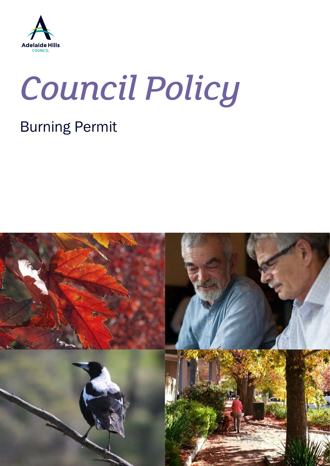

# *Council Policy*

## Burning Permit

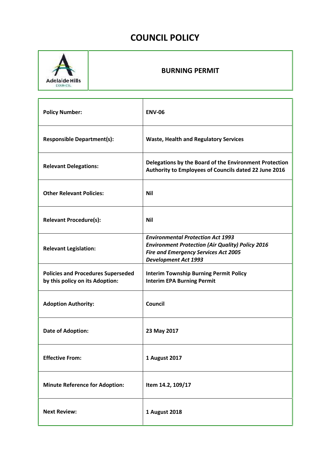### **COUNCIL POLICY**



#### **BURNING PERMIT**

| <b>Policy Number:</b>                                                        | <b>ENV-06</b>                                                                                                                                                                     |
|------------------------------------------------------------------------------|-----------------------------------------------------------------------------------------------------------------------------------------------------------------------------------|
| <b>Responsible Department(s):</b>                                            | <b>Waste, Health and Regulatory Services</b>                                                                                                                                      |
| <b>Relevant Delegations:</b>                                                 | Delegations by the Board of the Environment Protection<br>Authority to Employees of Councils dated 22 June 2016                                                                   |
| <b>Other Relevant Policies:</b>                                              | <b>Nil</b>                                                                                                                                                                        |
| <b>Relevant Procedure(s):</b>                                                | <b>Nil</b>                                                                                                                                                                        |
| <b>Relevant Legislation:</b>                                                 | <b>Environmental Protection Act 1993</b><br><b>Environment Protection (Air Quality) Policy 2016</b><br><b>Fire and Emergency Services Act 2005</b><br><b>Development Act 1993</b> |
| <b>Policies and Procedures Superseded</b><br>by this policy on its Adoption: | <b>Interim Township Burning Permit Policy</b><br><b>Interim EPA Burning Permit</b>                                                                                                |
| <b>Adoption Authority:</b>                                                   | <b>Council</b>                                                                                                                                                                    |
| <b>Date of Adoption:</b>                                                     | 23 May 2017                                                                                                                                                                       |
| <b>Effective From:</b>                                                       | 1 August 2017                                                                                                                                                                     |
| <b>Minute Reference for Adoption:</b>                                        | Item 14.2, 109/17                                                                                                                                                                 |
| <b>Next Review:</b>                                                          | 1 August 2018                                                                                                                                                                     |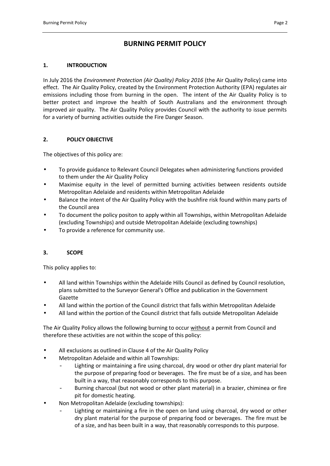#### **BURNING PERMIT POLICY**

#### **1. INTRODUCTION**

In July 2016 the *Environment Protection (Air Quality) Policy 2016* (the Air Quality Policy) came into effect. The Air Quality Policy, created by the Environment Protection Authority (EPA) regulates air emissions including those from burning in the open. The intent of the Air Quality Policy is to better protect and improve the health of South Australians and the environment through improved air quality. The Air Quality Policy provides Council with the authority to issue permits for a variety of burning activities outside the Fire Danger Season.

#### **2. POLICY OBJECTIVE**

The objectives of this policy are:

- To provide guidance to Relevant Council Delegates when administering functions provided to them under the Air Quality Policy
- Maximise equity in the level of permitted burning activities between residents outside Metropolitan Adelaide and residents within Metropolitan Adelaide
- Balance the intent of the Air Quality Policy with the bushfire risk found within many parts of the Council area
- To document the policy positon to apply within all Townships, within Metropolitan Adelaide (excluding Townships) and outside Metropolitan Adelaide (excluding townships)
- To provide a reference for community use.

#### **3. SCOPE**

This policy applies to:

- All land within Townships within the Adelaide Hills Council as defined by Council resolution, plans submitted to the Surveyor General's Office and publication in the Government Gazette
- All land within the portion of the Council district that falls within Metropolitan Adelaide
- All land within the portion of the Council district that falls outside Metropolitan Adelaide

The Air Quality Policy allows the following burning to occur without a permit from Council and therefore these activities are not within the scope of this policy:

- All exclusions as outlined in Clause 4 of the Air Quality Policy
- Metropolitan Adelaide and within all Townships:
	- Lighting or maintaining a fire using charcoal, dry wood or other dry plant material for the purpose of preparing food or beverages. The fire must be of a size, and has been built in a way, that reasonably corresponds to this purpose.
	- Burning charcoal (but not wood or other plant material) in a brazier, chiminea or fire pit for domestic heating.
- Non Metropolitan Adelaide (excluding townships):
	- Lighting or maintaining a fire in the open on land using charcoal, dry wood or other dry plant material for the purpose of preparing food or beverages. The fire must be of a size, and has been built in a way, that reasonably corresponds to this purpose.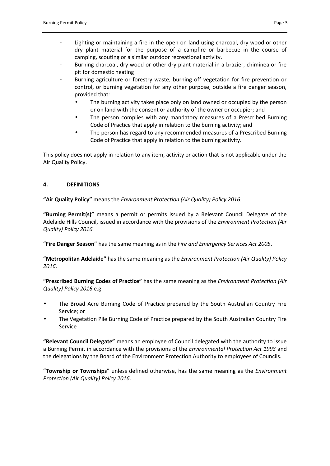- Lighting or maintaining a fire in the open on land using charcoal, dry wood or other dry plant material for the purpose of a campfire or barbecue in the course of camping, scouting or a similar outdoor recreational activity.
- Burning charcoal, dry wood or other dry plant material in a brazier, chiminea or fire pit for domestic heating
- Burning agriculture or forestry waste, burning off vegetation for fire prevention or control, or burning vegetation for any other purpose, outside a fire danger season, provided that:
	- The burning activity takes place only on land owned or occupied by the person or on land with the consent or authority of the owner or occupier; and
	- The person complies with any mandatory measures of a Prescribed Burning Code of Practice that apply in relation to the burning activity; and
	- The person has regard to any recommended measures of a Prescribed Burning Code of Practice that apply in relation to the burning activity.

This policy does not apply in relation to any item, activity or action that is not applicable under the Air Quality Policy.

#### **4. DEFINITIONS**

**"Air Quality Policy"** means the *Environment Protection (Air Quality) Policy 2016.*

**"Burning Permit(s)"** means a permit or permits issued by a Relevant Council Delegate of the Adelaide Hills Council, issued in accordance with the provisions of the *Environment Protection (Air Quality) Policy 2016.*

**"Fire Danger Season"** has the same meaning as in the *Fire and Emergency Services Act 2005*.

**"Metropolitan Adelaide"** has the same meaning as the *Environment Protection (Air Quality) Policy 2016*.

**"Prescribed Burning Codes of Practice"** has the same meaning as the *Environment Protection (Air Quality) Policy 2016* e.g.

- The Broad Acre Burning Code of Practice prepared by the South Australian Country Fire Service; or
- The Vegetation Pile Burning Code of Practice prepared by the South Australian Country Fire Service

**"Relevant Council Delegate"** means an employee of Council delegated with the authority to issue a Burning Permit in accordance with the provisions of the *Environmental Protection Act 1993* and the delegations by the Board of the Environment Protection Authority to employees of Councils.

**"Township or Townships**" unless defined otherwise, has the same meaning as the *Environment Protection (Air Quality) Policy 2016*.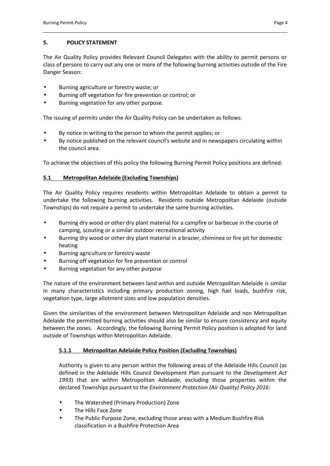#### **5. POLICY STATEMENT**

The Air Quality Policy provides Relevant Council Delegates with the ability to permit persons or class of persons to carry out any one or more of the following burning activities outside of the Fire Danger Season:

- Burning agriculture or forestry waste; or
- Burning off vegetation for fire prevention or control; or
- Burning vegetation for any other purpose.

The issuing of permits under the Air Quality Policy can be undertaken as follows:

- By notice in writing to the person to whom the permit applies; or
- By notice published on the relevant council's website and in newspapers circulating within the council area.

To achieve the objectives of this policy the following Burning Permit Policy positions are defined:

#### **5.1 Metropolitan Adelaide (Excluding Townships)**

The Air Quality Policy requires residents within Metropolitan Adelaide to obtain a permit to undertake the following burning activities. Residents outside Metropolitan Adelaide (outside Townships) do not require a permit to undertake the same burning activities.

- Burning dry wood or other dry plant material for a campfire or barbecue in the course of camping, scouting or a similar outdoor recreational activity
- Burning dry wood or other dry plant material in a brazier, chiminea or fire pit for domestic heating
- Burning agriculture or forestry waste
- Burning off vegetation for fire prevention or control
- Burning vegetation for any other purpose

The nature of the environment between land within and outside Metropolitan Adelaide is similar in many characteristics including primary production zoning, high fuel loads, bushfire risk, vegetation type, large allotment sizes and low population densities.

Given the similarities of the environment between Metropolitan Adelaide and non Metropolitan Adelaide the permitted burning activities should also be similar to ensure consistency and equity between the zones. Accordingly, the following Burning Permit Policy position is adopted for land outside of Townships within Metropolitan Adelaide.

#### **5.1.1 Metropolitan Adelaide Policy Position (Excluding Townships)**

Authority is given to any person within the following areas of the Adelaide Hills Council (as defined in the Adelaide Hills Council Development Plan pursuant to the *Development Act 1993*) that are within Metropolitan Adelaide, excluding those properties within the declared Townships pursuant to the *Environment Protection (Air Quality) Policy 2016*:

- The Watershed (Primary Production) Zone
- The Hills Face Zone
- The Public Purpose Zone, excluding those areas with a Medium Bushfire Risk classification in a Bushfire Protection Area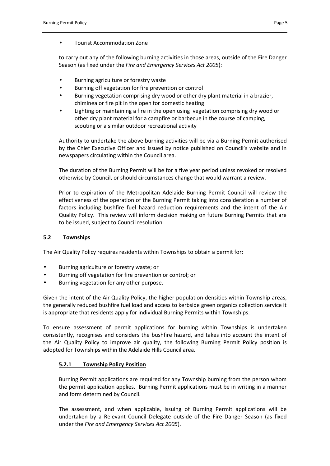#### Tourist Accommodation Zone

to carry out any of the following burning activities in those areas, outside of the Fire Danger Season (as fixed under the *Fire and Emergency Services Act 2005*):

- Burning agriculture or forestry waste
- Burning off vegetation for fire prevention or control
- Burning vegetation comprising dry wood or other dry plant material in a brazier, chiminea or fire pit in the open for domestic heating
- Lighting or maintaining a fire in the open using vegetation comprising dry wood or other dry plant material for a campfire or barbecue in the course of camping, scouting or a similar outdoor recreational activity

Authority to undertake the above burning activities will be via a Burning Permit authorised by the Chief Executive Officer and issued by notice published on Council's website and in newspapers circulating within the Council area.

The duration of the Burning Permit will be for a five year period unless revoked or resolved otherwise by Council, or should circumstances change that would warrant a review.

Prior to expiration of the Metropolitan Adelaide Burning Permit Council will review the effectiveness of the operation of the Burning Permit taking into consideration a number of factors including bushfire fuel hazard reduction requirements and the intent of the Air Quality Policy. This review will inform decision making on future Burning Permits that are to be issued, subject to Council resolution.

#### **5.2 Townships**

The Air Quality Policy requires residents within Townships to obtain a permit for:

- Burning agriculture or forestry waste; or
- Burning off vegetation for fire prevention or control; or
- Burning vegetation for any other purpose.

Given the intent of the Air Quality Policy, the higher population densities within Township areas, the generally reduced bushfire fuel load and access to kerbside green organics collection service it is appropriate that residents apply for individual Burning Permits within Townships.

To ensure assessment of permit applications for burning within Townships is undertaken consistently, recognises and considers the bushfire hazard, and takes into account the intent of the Air Quality Policy to improve air quality, the following Burning Permit Policy position is adopted for Townships within the Adelaide Hills Council area.

#### **5.2.1 Township Policy Position**

Burning Permit applications are required for any Township burning from the person whom the permit application applies. Burning Permit applications must be in writing in a manner and form determined by Council.

The assessment, and when applicable, issuing of Burning Permit applications will be undertaken by a Relevant Council Delegate outside of the Fire Danger Season (as fixed under the *Fire and Emergency Services Act 2005*).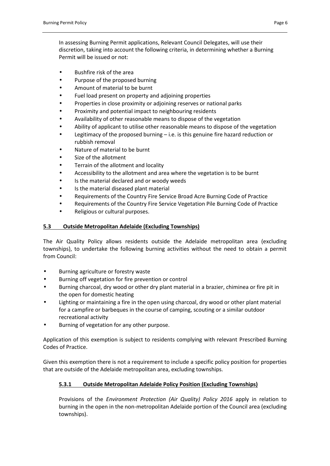In assessing Burning Permit applications, Relevant Council Delegates, will use their discretion, taking into account the following criteria, in determining whether a Burning Permit will be issued or not:

- Bushfire risk of the area
- Purpose of the proposed burning
- Amount of material to be burnt
- Fuel load present on property and adjoining properties
- Properties in close proximity or adjoining reserves or national parks
- Proximity and potential impact to neighbouring residents
- Availability of other reasonable means to dispose of the vegetation
- Ability of applicant to utilise other reasonable means to dispose of the vegetation
- Legitimacy of the proposed burning i.e. is this genuine fire hazard reduction or rubbish removal
- Nature of material to be burnt
- Size of the allotment
- Terrain of the allotment and locality
- Accessibility to the allotment and area where the vegetation is to be burnt
- Is the material declared and or woody weeds
- Is the material diseased plant material
- Requirements of the Country Fire Service Broad Acre Burning Code of Practice
- Requirements of the Country Fire Service Vegetation Pile Burning Code of Practice
- Religious or cultural purposes.

#### **5.3 Outside Metropolitan Adelaide (Excluding Townships)**

The Air Quality Policy allows residents outside the Adelaide metropolitan area (excluding townships), to undertake the following burning activities without the need to obtain a permit from Council:

- Burning agriculture or forestry waste
- Burning off vegetation for fire prevention or control
- Burning charcoal, dry wood or other dry plant material in a brazier, chiminea or fire pit in the open for domestic heating
- Lighting or maintaining a fire in the open using charcoal, dry wood or other plant material for a campfire or barbeques in the course of camping, scouting or a similar outdoor recreational activity
- Burning of vegetation for any other purpose.

Application of this exemption is subject to residents complying with relevant Prescribed Burning Codes of Practice.

Given this exemption there is not a requirement to include a specific policy position for properties that are outside of the Adelaide metropolitan area, excluding townships.

#### **5.3.1 Outside Metropolitan Adelaide Policy Position (Excluding Townships)**

Provisions of the *Environment Protection (Air Quality) Policy 2016* apply in relation to burning in the open in the non-metropolitan Adelaide portion of the Council area (excluding townships).